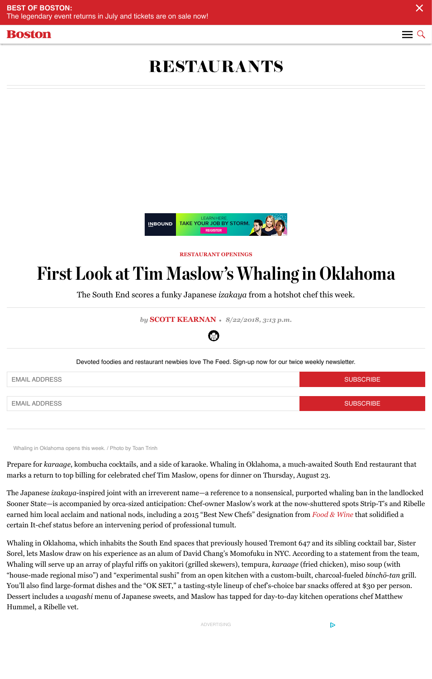

Devoted foodies and restaurant newbies love The Feed. Sign-up now for

## **EMAIL ADDRESS**

**[EMAIL ADDRESS](https://www.bostonmagazine.com/restaurants)** 

Whaling in Oklahoma opens this week. / Photo by Toan Trinh

Prepare for *karaage*, kombucha cocktails, and a side of karaoke. Whaling in Oklahon marks a return to top billing for celebrated chef Tim Maslow, opens for dinner on Th

The Japanese *izakaya*-inspired joint with an irreverent name—a reference to a nonse Sooner State—is accompanied by orca-sized anticipation: Chef-owner Maslow's work earned him local acclaim and national nods, including a 2015 "Best New Chefs" designation from *Foundain from including* a 2015 "Best New Chefs" designation from *Foundain* and solidified and solid and solid and solid and certain It-chef status before an intervening period of professional tumult.

Whaling in Oklahoma, which inhabits the South End spaces that previously housed T Sorel, lets Maslow draw on his experience as an alum of David Chang's Momofuku in Whaling will serve up an array of playful riffs on yakitori (grilled skewers), tempura, "house-made regional miso") and "experimental sushi" from an open kitchen with a o You'll also find large-format dishes and the "OK SET," a tasting-style lineup of chef's-Dessert includes a *wagashi* menu of Japanese sweets, and Maslow has tapped for day Hummel, a Ribelle vet.

ADVERTISING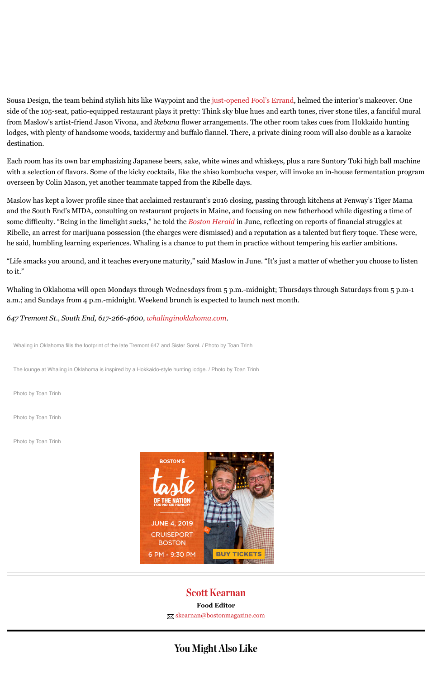Whaling in Oklahoma fills the footprint of the late Tremont 647 and Sister Sorel. / Photo by Toan Trinh

The lounge at Whaling in Oklahoma is inspired by a Hokkaido-style hunting lodge. / Photo by Toan Trinh

Photo by Toan Trinh

Photo by Toan Trinh

Photo by Toan Trinh



## Scott Kearnan **Food Editor**

 $\boxtimes$  skearnan@bostonmagazine.com

[You Might Al](http://whalinginoklahoma.com/)so Like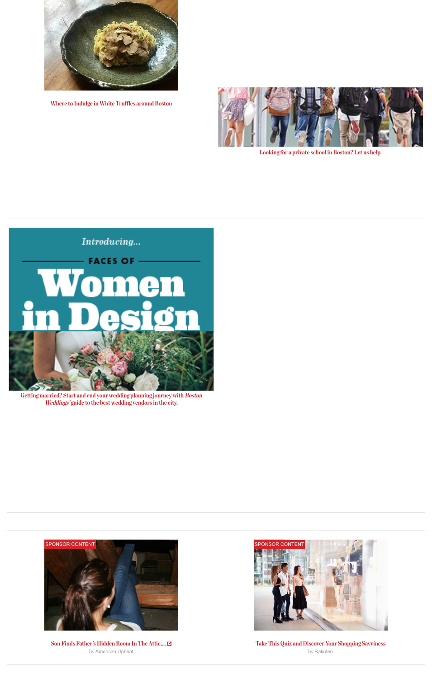

Getting married? Start and end your wedding planning journey with Boston Weddings' guide to the best wedding vendors in the city.



[Son Finds Father's Hidden Room In The Attic,...](https://adclick.g.doubleclick.net/pcs/click?xai=AKAOjsvOJ-g4u_aqiTgL81gK5GhXp2zJV3WXACk6mcWzGDnAB9ZO3IyOzDn4kBEp78tGqBfbgW_1aQjz7bHj-7N_RXCEAJja7ZPWctsgus1ifeVlfIYjOLWN5feZJZN5ctbp2zQdpTAhpHesRDPIY91q19SxfJ39VIFDMnLU8rBm70fQrCp6FVoR8BIwB-gH8BoKrLdutTw4EOIFJgwxytxA2bOzIGwTOKPn2AMh607tfFvD1_vgPyUawWMnwz3bNF2f07YZ3PA-ftfW0xsj961V3Q&sai=AMfl-YTLpTQ05pQF0JPR5UGBY64EVq6JtbJy8zjJvOKTI4FJMXUvVEvSAfm0FMJFyESOE3Lyu5dJaQnABw3wh9RmLeiwFaHiFfGIzJ3b7K80&sig=Cg0ArKJSzMs7aQ3C-uOtEAE&urlfix=1&adurl=https://www.bostonmagazine.com/womenindesign)  by American Upbeat



Take T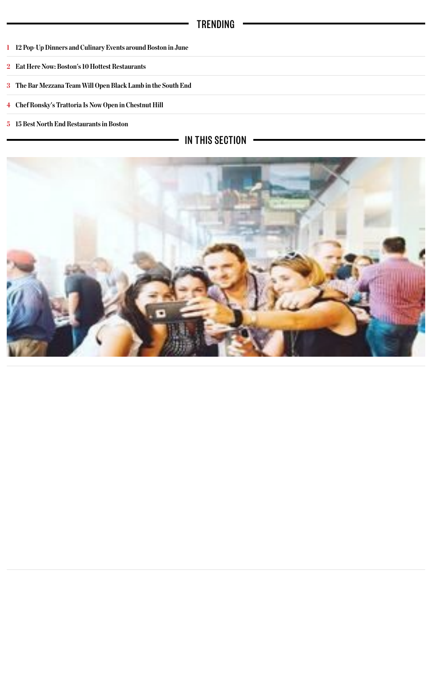